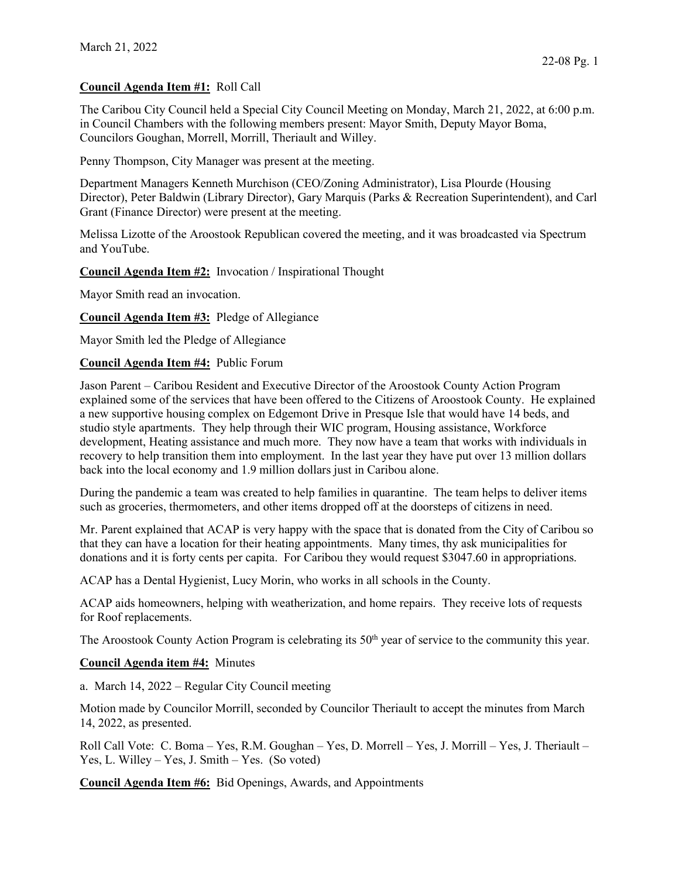## **Council Agenda Item #1:** Roll Call

The Caribou City Council held a Special City Council Meeting on Monday, March 21, 2022, at 6:00 p.m. in Council Chambers with the following members present: Mayor Smith, Deputy Mayor Boma, Councilors Goughan, Morrell, Morrill, Theriault and Willey.

Penny Thompson, City Manager was present at the meeting.

Department Managers Kenneth Murchison (CEO/Zoning Administrator), Lisa Plourde (Housing Director), Peter Baldwin (Library Director), Gary Marquis (Parks & Recreation Superintendent), and Carl Grant (Finance Director) were present at the meeting.

Melissa Lizotte of the Aroostook Republican covered the meeting, and it was broadcasted via Spectrum and YouTube.

**Council Agenda Item #2:** Invocation / Inspirational Thought

Mayor Smith read an invocation.

**Council Agenda Item #3:** Pledge of Allegiance

Mayor Smith led the Pledge of Allegiance

## **Council Agenda Item #4:** Public Forum

Jason Parent – Caribou Resident and Executive Director of the Aroostook County Action Program explained some of the services that have been offered to the Citizens of Aroostook County. He explained a new supportive housing complex on Edgemont Drive in Presque Isle that would have 14 beds, and studio style apartments. They help through their WIC program, Housing assistance, Workforce development, Heating assistance and much more. They now have a team that works with individuals in recovery to help transition them into employment. In the last year they have put over 13 million dollars back into the local economy and 1.9 million dollars just in Caribou alone.

During the pandemic a team was created to help families in quarantine. The team helps to deliver items such as groceries, thermometers, and other items dropped off at the doorsteps of citizens in need.

Mr. Parent explained that ACAP is very happy with the space that is donated from the City of Caribou so that they can have a location for their heating appointments. Many times, thy ask municipalities for donations and it is forty cents per capita. For Caribou they would request \$3047.60 in appropriations.

ACAP has a Dental Hygienist, Lucy Morin, who works in all schools in the County.

ACAP aids homeowners, helping with weatherization, and home repairs. They receive lots of requests for Roof replacements.

The Aroostook County Action Program is celebrating its  $50<sup>th</sup>$  year of service to the community this year.

## **Council Agenda item #4:** Minutes

a. March 14, 2022 – Regular City Council meeting

Motion made by Councilor Morrill, seconded by Councilor Theriault to accept the minutes from March 14, 2022, as presented.

Roll Call Vote: C. Boma – Yes, R.M. Goughan – Yes, D. Morrell – Yes, J. Morrill – Yes, J. Theriault – Yes, L. Willey – Yes, J. Smith – Yes. (So voted)

**Council Agenda Item #6:** Bid Openings, Awards, and Appointments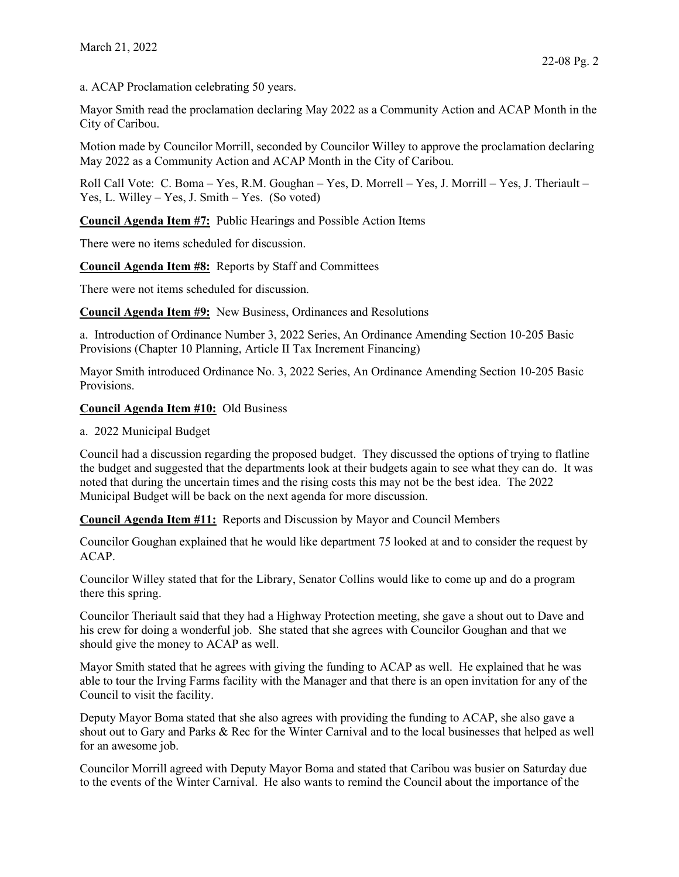a. ACAP Proclamation celebrating 50 years.

Mayor Smith read the proclamation declaring May 2022 as a Community Action and ACAP Month in the City of Caribou.

Motion made by Councilor Morrill, seconded by Councilor Willey to approve the proclamation declaring May 2022 as a Community Action and ACAP Month in the City of Caribou.

Roll Call Vote: C. Boma – Yes, R.M. Goughan – Yes, D. Morrell – Yes, J. Morrill – Yes, J. Theriault – Yes, L. Willey – Yes, J. Smith – Yes. (So voted)

**Council Agenda Item #7:** Public Hearings and Possible Action Items

There were no items scheduled for discussion.

**Council Agenda Item #8:** Reports by Staff and Committees

There were not items scheduled for discussion.

**Council Agenda Item #9:** New Business, Ordinances and Resolutions

a. Introduction of Ordinance Number 3, 2022 Series, An Ordinance Amending Section 10-205 Basic Provisions (Chapter 10 Planning, Article II Tax Increment Financing)

Mayor Smith introduced Ordinance No. 3, 2022 Series, An Ordinance Amending Section 10-205 Basic Provisions.

**Council Agenda Item #10:** Old Business

a. 2022 Municipal Budget

Council had a discussion regarding the proposed budget. They discussed the options of trying to flatline the budget and suggested that the departments look at their budgets again to see what they can do. It was noted that during the uncertain times and the rising costs this may not be the best idea. The 2022 Municipal Budget will be back on the next agenda for more discussion.

**Council Agenda Item #11:** Reports and Discussion by Mayor and Council Members

Councilor Goughan explained that he would like department 75 looked at and to consider the request by ACAP.

Councilor Willey stated that for the Library, Senator Collins would like to come up and do a program there this spring.

Councilor Theriault said that they had a Highway Protection meeting, she gave a shout out to Dave and his crew for doing a wonderful job. She stated that she agrees with Councilor Goughan and that we should give the money to ACAP as well.

Mayor Smith stated that he agrees with giving the funding to ACAP as well. He explained that he was able to tour the Irving Farms facility with the Manager and that there is an open invitation for any of the Council to visit the facility.

Deputy Mayor Boma stated that she also agrees with providing the funding to ACAP, she also gave a shout out to Gary and Parks & Rec for the Winter Carnival and to the local businesses that helped as well for an awesome job.

Councilor Morrill agreed with Deputy Mayor Boma and stated that Caribou was busier on Saturday due to the events of the Winter Carnival. He also wants to remind the Council about the importance of the